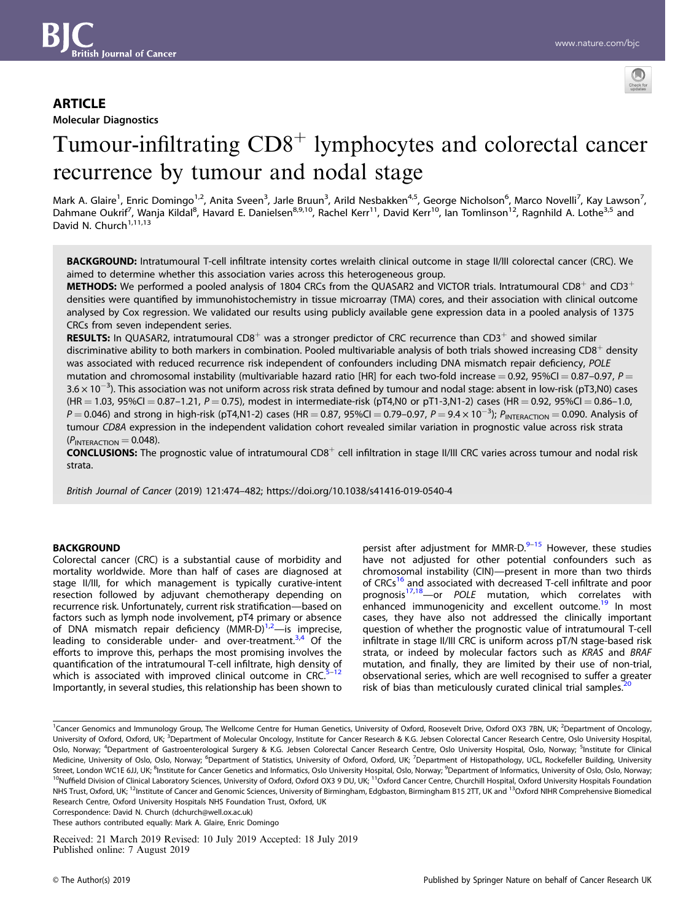# **ARTICLE**



# Tumour-infiltrating CD8<sup>+</sup> lymphocytes and colorectal cancer recurrence by tumour and nodal stage

Mark A. Glaire<sup>1</sup>, Enric Domingo<sup>1,2</sup>, Anita Sveen<sup>3</sup>, Jarle Bruun<sup>3</sup>, Arild Nesbakken<sup>4,5</sup>, George Nicholson<sup>6</sup>, Marco Novelli<sup>7</sup>, Kay Lawson<sup>7</sup>, Dahmane Oukrif<sup>7</sup>, Wanja Kildal<sup>8</sup>, Havard E. Danielsen<sup>8,9,10</sup>, Rachel Kerr<sup>11</sup>, David Kerr<sup>10</sup>, Ian Tomlinson<sup>12</sup>, Ragnhild A. Lothe<sup>3,5</sup> and David N. Church<sup>1,11,13</sup>

BACKGROUND: Intratumoural T-cell infiltrate intensity cortes wrelaith clinical outcome in stage II/III colorectal cancer (CRC). We aimed to determine whether this association varies across this heterogeneous group.

**METHODS:** We performed a pooled analysis of 1804 CRCs from the QUASAR2 and VICTOR trials. Intratumoural CD8<sup>+</sup> and CD3<sup>+</sup> densities were quantified by immunohistochemistry in tissue microarray (TMA) cores, and their association with clinical outcome analysed by Cox regression. We validated our results using publicly available gene expression data in a pooled analysis of 1375 CRCs from seven independent series.

**RESULTS:** In QUASAR2, intratumoural  $CD8^+$  was a stronger predictor of CRC recurrence than  $CD3^+$  and showed similar discriminative ability to both markers in combination. Pooled multivariable analysis of both trials showed increasing  $CD8<sup>+</sup>$  density was associated with reduced recurrence risk independent of confounders including DNA mismatch repair deficiency, POLE mutation and chromosomal instability (multivariable hazard ratio [HR] for each two-fold increase = 0.92, 95%CI = 0.87-0.97,  $P =$ 3.6 × 10<sup>-3</sup>). This association was not uniform across risk strata defined by tumour and nodal stage: absent in low-risk (pT3,N0) cases  $(HR = 1.03, 95\% CI = 0.87 - 1.21, P = 0.75$ ), modest in intermediate-risk (pT4,N0 or pT1-3,N1-2) cases (HR = 0.92, 95%CI = 0.86-1.0,  $P=0.046$ ) and strong in high-risk (pT4,N1-2) cases (HR  $=$  0.87, 95%Cl  $=$  0.79–0.97,  $P=$  9.4  $\times$  10 $^{-3}$ );  $P_{\sf INTERACTION}=$  0.090. Analysis of tumour CD8A expression in the independent validation cohort revealed similar variation in prognostic value across risk strata  $(P_{\text{INTERACTION}} = 0.048)$ .

CONCLUSIONS: The prognostic value of intratumoural CD8<sup>+</sup> cell infiltration in stage II/III CRC varies across tumour and nodal risk strata.

British Journal of Cancer (2019) 121:474–482; https://doi.org/10.1038/s41416-019-0540-4

## **BACKGROUND**

Colorectal cancer (CRC) is a substantial cause of morbidity and mortality worldwide. More than half of cases are diagnosed at stage II/III, for which management is typically curative-intent resection followed by adjuvant chemotherapy depending on recurrence risk. Unfortunately, current risk stratification—based on factors such as lymph node involvement, pT4 primary or absence of DNA mismatch repair deficiency (MMR-D)<sup>1,2</sup>—is imprecise, leading to considerable under- and over-treatment.<sup>[3,4](#page-7-0)</sup> Of the efforts to improve this, perhaps the most promising involves the quantification of the intratumoural T-cell infiltrate, high density of which is associated with improved clinical outcome in CRC. Importantly, in several studies, this relationship has been shown to persist after adjustment for MMR- $D.9-15$  $D.9-15$  $D.9-15$  $D.9-15$  However, these studies have not adjusted for other potential confounders such as chromosomal instability (CIN)—present in more than two thirds of CRCs<sup>[16](#page-8-0)</sup> and associated with decreased T-cell infiltrate and poor prognosis<sup>[17,18](#page-8-0)</sup>—or *POLE* mutation, which correlates with enhanced immunogenicity and excellent outcome.<sup>[19](#page-8-0)</sup> In most cases, they have also not addressed the clinically important question of whether the prognostic value of intratumoural T-cell infiltrate in stage II/III CRC is uniform across pT/N stage-based risk strata, or indeed by molecular factors such as KRAS and BRAF mutation, and finally, they are limited by their use of non-trial, observational series, which are well recognised to suffer a greater risk of bias than meticulously curated clinical trial samples.<sup>2</sup>

Correspondence: David N. Church ([dchurch@well.ox.ac.uk](mailto:dchurch@well.ox.ac.uk))

These authors contributed equally: Mark A. Glaire, Enric Domingo

Received: 21 March 2019 Revised: 10 July 2019 Accepted: 18 July 2019 Published online: 7 August 2019

<sup>&</sup>lt;sup>1</sup>Cancer Genomics and Immunology Group, The Wellcome Centre for Human Genetics, University of Oxford, Roosevelt Drive, Oxford OX3 7BN, UK; <sup>2</sup>Department of Oncology, University of Oxford, Oxford, UK; <sup>3</sup>Department of Molecular Oncology, Institute for Cancer Research & K.G. Jebsen Colorectal Cancer Research Centre, Oslo University Hospital, Oslo, Norway; <sup>4</sup>Department of Gastroenterological Surgery & K.G. Jebsen Colorectal Cancer Research Centre, Oslo University Hospital, Oslo, Norway; <sup>5</sup>Institute for Clinical Medicine, University of Oslo, Oslo, Norway; <sup>6</sup>Department of Statistics, University of Oxford, Oxford, UK; <sup>7</sup>Department of Histopathology, UCL, Rockefeller Building, University Street, London WC1E 6JJ, UK; <sup>8</sup>Institute for Cancer Genetics and Informatics, Oslo University Hospital, Oslo, Norway; <sup>9</sup>Department of Informatics, University of Oslo, Oslo, Norway; <sup>10</sup>Nuffield Division of Clinical Laboratory Sciences, University of Oxford, Oxford OX3 9 DU, UK; <sup>11</sup>Oxford Cancer Centre, Churchill Hospital, Oxford University Hospitals Foundation NHS Trust, Oxford, UK; <sup>12</sup>Institute of Cancer and Genomic Sciences, University of Birmingham, Edgbaston, Birmingham B15 2TT, UK and <sup>13</sup>Oxford NIHR Comprehensive Biomedical Research Centre, Oxford University Hospitals NHS Foundation Trust, Oxford, UK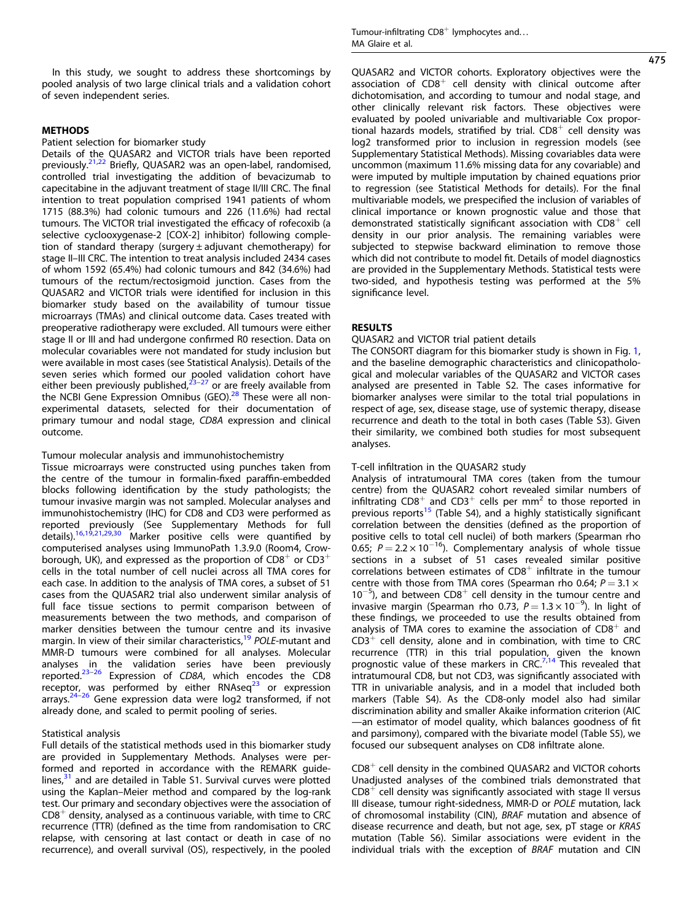In this study, we sought to address these shortcomings by pooled analysis of two large clinical trials and a validation cohort of seven independent series.

## METHODS

## Patient selection for biomarker study

Details of the QUASAR2 and VICTOR trials have been reported previously.[21,22](#page-8-0) Briefly, QUASAR2 was an open-label, randomised, controlled trial investigating the addition of bevacizumab to capecitabine in the adjuvant treatment of stage II/III CRC. The final intention to treat population comprised 1941 patients of whom 1715 (88.3%) had colonic tumours and 226 (11.6%) had rectal tumours. The VICTOR trial investigated the efficacy of rofecoxib (a selective cyclooxygenase-2 [COX-2] inhibitor) following completion of standard therapy (surgery  $\pm$  adjuvant chemotherapy) for stage II–III CRC. The intention to treat analysis included 2434 cases of whom 1592 (65.4%) had colonic tumours and 842 (34.6%) had tumours of the rectum/rectosigmoid junction. Cases from the QUASAR2 and VICTOR trials were identified for inclusion in this biomarker study based on the availability of tumour tissue microarrays (TMAs) and clinical outcome data. Cases treated with preoperative radiotherapy were excluded. All tumours were either stage II or III and had undergone confirmed R0 resection. Data on molecular covariables were not mandated for study inclusion but were available in most cases (see Statistical Analysis). Details of the seven series which formed our pooled validation cohort have<br>either been previously published,<sup>[23](#page-8-0)–[27](#page-8-0)</sup> or are freely available from the NCBI Gene Expression Omnibus (GEO). $^{28}$  These were all nonexperimental datasets, selected for their documentation of primary tumour and nodal stage, CD8A expression and clinical outcome.

## Tumour molecular analysis and immunohistochemistry

Tissue microarrays were constructed using punches taken from the centre of the tumour in formalin-fixed paraffin-embedded blocks following identification by the study pathologists; the tumour invasive margin was not sampled. Molecular analyses and immunohistochemistry (IHC) for CD8 and CD3 were performed as reported previously (See Supplementary Methods for full details).[16](#page-8-0),[19,21,29,30](#page-8-0) Marker positive cells were quantified by computerised analyses using ImmunoPath 1.3.9.0 (Room4, Crowborough, UK), and expressed as the proportion of  $CDB<sup>+</sup>$  or  $CDB<sup>+</sup>$ cells in the total number of cell nuclei across all TMA cores for each case. In addition to the analysis of TMA cores, a subset of 51 cases from the QUASAR2 trial also underwent similar analysis of full face tissue sections to permit comparison between of measurements between the two methods, and comparison of marker densities between the tumour centre and its invasive margin. In view of their similar characteristics, $19$  POLE-mutant and MMR-D tumours were combined for all analyses. Molecular analyses in the validation series have been previously<br>reported.<sup>[23](#page-8-0)–[26](#page-8-0)</sup> Expression of *CD8A,* which encodes the CD8 receptor, was performed by either RNAseq $^{23}$  $^{23}$  $^{23}$  or expression arrays.<sup>[24](#page-8-0)–[26](#page-8-0)</sup> Gene expression data were log2 transformed, if not already done, and scaled to permit pooling of series.

## Statistical analysis

Full details of the statistical methods used in this biomarker study are provided in Supplementary Methods. Analyses were performed and reported in accordance with the REMARK guidelines, $31$  and are detailed in Table S1. Survival curves were plotted using the Kaplan–Meier method and compared by the log-rank test. Our primary and secondary objectives were the association of  $CD8<sup>+</sup>$  density, analysed as a continuous variable, with time to CRC recurrence (TTR) (defined as the time from randomisation to CRC relapse, with censoring at last contact or death in case of no recurrence), and overall survival (OS), respectively, in the pooled QUASAR2 and VICTOR cohorts. Exploratory objectives were the association of  $CDB<sup>+</sup>$  cell density with clinical outcome after dichotomisation, and according to tumour and nodal stage, and other clinically relevant risk factors. These objectives were evaluated by pooled univariable and multivariable Cox proportional hazards models, stratified by trial.  $CDB<sup>+</sup>$  cell density was log2 transformed prior to inclusion in regression models (see Supplementary Statistical Methods). Missing covariables data were uncommon (maximum 11.6% missing data for any covariable) and were imputed by multiple imputation by chained equations prior to regression (see Statistical Methods for details). For the final multivariable models, we prespecified the inclusion of variables of clinical importance or known prognostic value and those that demonstrated statistically significant association with  $CDB<sup>+</sup>$  cell density in our prior analysis. The remaining variables were subjected to stepwise backward elimination to remove those which did not contribute to model fit. Details of model diagnostics are provided in the Supplementary Methods. Statistical tests were two-sided, and hypothesis testing was performed at the 5% significance level.

## RESULTS

# QUASAR2 and VICTOR trial patient details

The CONSORT diagram for this biomarker study is shown in Fig. [1](#page-2-0), and the baseline demographic characteristics and clinicopathological and molecular variables of the QUASAR2 and VICTOR cases analysed are presented in Table S2. The cases informative for biomarker analyses were similar to the total trial populations in respect of age, sex, disease stage, use of systemic therapy, disease recurrence and death to the total in both cases (Table S3). Given their similarity, we combined both studies for most subsequent analyses.

## T-cell infiltration in the QUASAR2 study

Analysis of intratumoural TMA cores (taken from the tumour centre) from the QUASAR2 cohort revealed similar numbers of infiltrating  $CDB^+$  and  $CDB^+$  cells per mm<sup>2</sup> to those reported in previous  $\text{reports}^{15}$  $\text{reports}^{15}$  $\text{reports}^{15}$  (Table S4), and a highly statistically significant correlation between the densities (defined as the proportion of positive cells to total cell nuclei) of both markers (Spearman rho 0.65;  $P = 2.2 \times 10^{-16}$ ). Complementary analysis of whole tissue sections in a subset of 51 cases revealed similar positive correlations between estimates of  $CDB<sup>+</sup>$  infiltrate in the tumour centre with those from TMA cores (Spearman rho 0.64;  $P = 3.1 \times$ 10<sup>-5</sup>), and between CD8<sup>+</sup> cell density in the tumour centre and invasive margin (Spearman rho 0.73,  $P = 1.3 \times 10^{-9}$ ). In light of these findings, we proceeded to use the results obtained from analysis of TMA cores to examine the association of  $CDB<sup>+</sup>$  and  $CD3<sup>+</sup>$  cell density, alone and in combination, with time to CRC recurrence (TTR) in this trial population, given the known<br>prognostic value of these markers in CRC.<sup>7,14</sup> This revealed that intratumoural CD8, but not CD3, was significantly associated with TTR in univariable analysis, and in a model that included both markers (Table S4). As the CD8-only model also had similar discrimination ability and smaller Akaike information criterion (AIC —an estimator of model quality, which balances goodness of fit and parsimony), compared with the bivariate model (Table S5), we focused our subsequent analyses on CD8 infiltrate alone.

CD8<sup>+</sup> cell density in the combined QUASAR2 and VICTOR cohorts Unadjusted analyses of the combined trials demonstrated that  $CD8<sup>+</sup>$  cell density was significantly associated with stage II versus III disease, tumour right-sidedness, MMR-D or POLE mutation, lack of chromosomal instability (CIN), BRAF mutation and absence of disease recurrence and death, but not age, sex, pT stage or KRAS mutation (Table S6). Similar associations were evident in the individual trials with the exception of BRAF mutation and CIN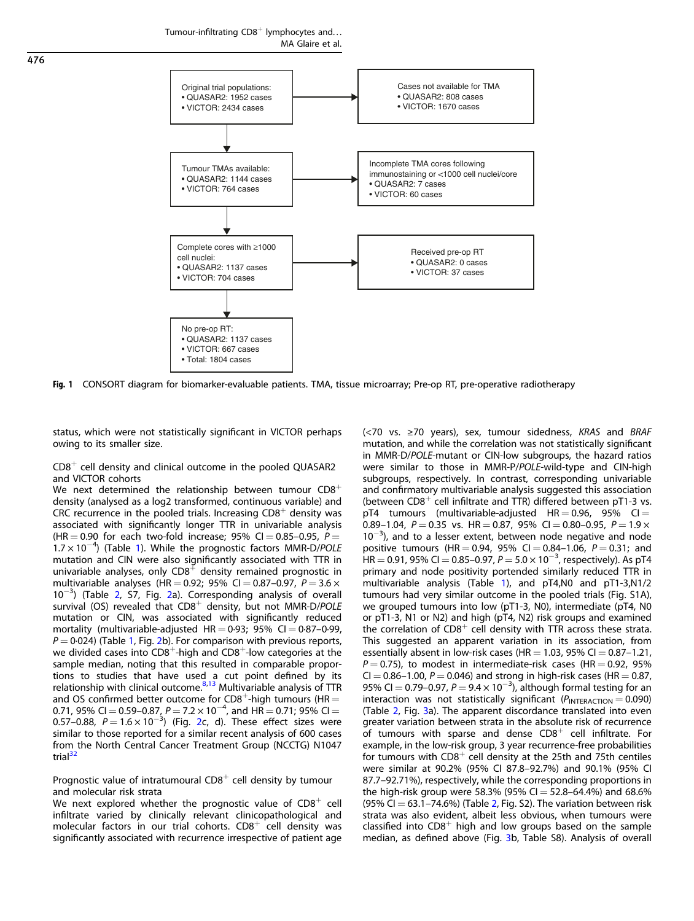<span id="page-2-0"></span>



Fig. 1 CONSORT diagram for biomarker-evaluable patients. TMA, tissue microarray; Pre-op RT, pre-operative radiotherapy

status, which were not statistically significant in VICTOR perhaps owing to its smaller size.

 $CD8<sup>+</sup>$  cell density and clinical outcome in the pooled QUASAR2 and VICTOR cohorts

We next determined the relationship between tumour  $CDB^+$ density (analysed as a log2 transformed, continuous variable) and CRC recurrence in the pooled trials. Increasing  $CDS<sup>+</sup>$  density was associated with significantly longer TTR in univariable analysis  $(HR = 0.90$  for each two-fold increase; 95% CI = 0.85-0.95, P = 1.7 × 10−<sup>4</sup> ) (Table [1\)](#page-3-0). While the prognostic factors MMR-D/POLE mutation and CIN were also significantly associated with TTR in univariable analyses, only  $CDB^{\ddagger}$  density remained prognostic in multivariable analyses (HR = 0.92; 95% CI = 0.87-0.97,  $P = 3.6 \times$ 10−<sup>3</sup> ) (Table [2,](#page-4-0) S7, Fig. [2a](#page-5-0)). Corresponding analysis of overall survival (OS) revealed that  $CDB<sup>+</sup>$  density, but not MMR-D/POLE mutation or CIN, was associated with significantly reduced mortality (multivariable-adjusted  $HR = 0.93$ ; 95% CI = 0.87-0.99,  $P = 0.024$  $P = 0.024$  $P = 0.024$ ) (Table [1](#page-3-0), Fig. 2b). For comparison with previous reports, we divided cases into  $CD8^+$ -high and  $CD8^+$ -low categories at the sample median, noting that this resulted in comparable proportions to studies that have used a cut point defined by its relationship with clinical outcome.<sup>[8](#page-7-0),[13](#page-7-0)</sup> Multivariable analysis of TTR and OS confirmed better outcome for  $CDB^+$ -high tumours (HR = 0.71, 95% CI = 0.59–0.87, *P* = 7.[2](#page-5-0) × 10<sup>−4</sup>, and HR = 0.71; 95% CI =<br>0.57–0.88, *P* = 1.6 × 10<sup>−3</sup>) (Fig. 2c, d). These effect sizes were similar to those reported for a similar recent analysis of 600 cases from the North Central Cancer Treatment Group (NCCTG) N1047 trial<sup>[32](#page-8-0)</sup>

Prognostic value of intratumoural  $CD8<sup>+</sup>$  cell density by tumour and molecular risk strata

We next explored whether the prognostic value of  $CD8<sup>+</sup>$  cell infiltrate varied by clinically relevant clinicopathological and molecular factors in our trial cohorts.  $CDB<sup>+</sup>$  cell density was significantly associated with recurrence irrespective of patient age (<70 vs. ≥70 years), sex, tumour sidedness, KRAS and BRAF mutation, and while the correlation was not statistically significant in MMR-D/POLE-mutant or CIN-low subgroups, the hazard ratios were similar to those in MMR-P/POLE-wild-type and CIN-high subgroups, respectively. In contrast, corresponding univariable and confirmatory multivariable analysis suggested this association (between  $CDS<sup>+</sup>$  cell infiltrate and TTR) differed between pT1-3 vs. pT4 tumours (multivariable-adjusted  $HR = 0.96$ ,  $95\%$  CI = 0.89–1.04,  $P = 0.35$  vs. HR = 0.87, 95% CI = 0.80–0.95,  $P = 1.9 \times$ 10−<sup>3</sup> ), and to a lesser extent, between node negative and node positive tumours (HR = 0.94, 95% CI = 0.84-1.06,  $P = 0.31$ ; and  $\overline{\sf HR}=$  0.91, 95% CI  $=$  0.85–0.97,  $\mathit{P}=$  5.0  $\times$  10 $^{-3}$ , respectively). As pT4 primary and node positivity portended similarly reduced TTR in multivariable analysis (Table [1\)](#page-3-0), and pT4,N0 and pT1-3,N1/2 tumours had very similar outcome in the pooled trials (Fig. S1A), we grouped tumours into low (pT1-3, N0), intermediate (pT4, N0 or pT1-3, N1 or N2) and high (pT4, N2) risk groups and examined the correlation of  $CDB<sup>+</sup>$  cell density with TTR across these strata. This suggested an apparent variation in its association, from essentially absent in low-risk cases (HR = 1.03, 95% CI =  $0.87-1.21$ ,  $P = 0.75$ ), to modest in intermediate-risk cases (HR = 0.92, 95%  $CI = 0.86 - 1.00$ ,  $P = 0.046$ ) and strong in high-risk cases (HR = 0.87, 95% CI = 0.79-0.97,  $P = 9.4 \times 10^{-3}$ ), although formal testing for an interaction was not statistically significant ( $P_{\text{INTERACTION}} = 0.090$ ) (Table [2,](#page-4-0) Fig. [3a](#page-7-0)). The apparent discordance translated into even greater variation between strata in the absolute risk of recurrence of tumours with sparse and dense  $CDB<sup>+</sup>$  cell infiltrate. For example, in the low-risk group, 3 year recurrence-free probabilities for tumours with  $CD8<sup>+</sup>$  cell density at the 25th and 75th centiles were similar at 90.2% (95% CI 87.8–92.7%) and 90.1% (95% CI 87.7–92.71%), respectively, while the corresponding proportions in the high-risk group were 58.3% (95% CI = 52.8–64.4%) and 68.6% (95% CI  $=$  63.1–74.6%) (Table [2,](#page-4-0) Fig. S2). The variation between risk strata was also evident, albeit less obvious, when tumours were classified into  $CDB<sup>+</sup>$  high and low groups based on the sample median, as defined above (Fig. [3b](#page-7-0), Table S8). Analysis of overall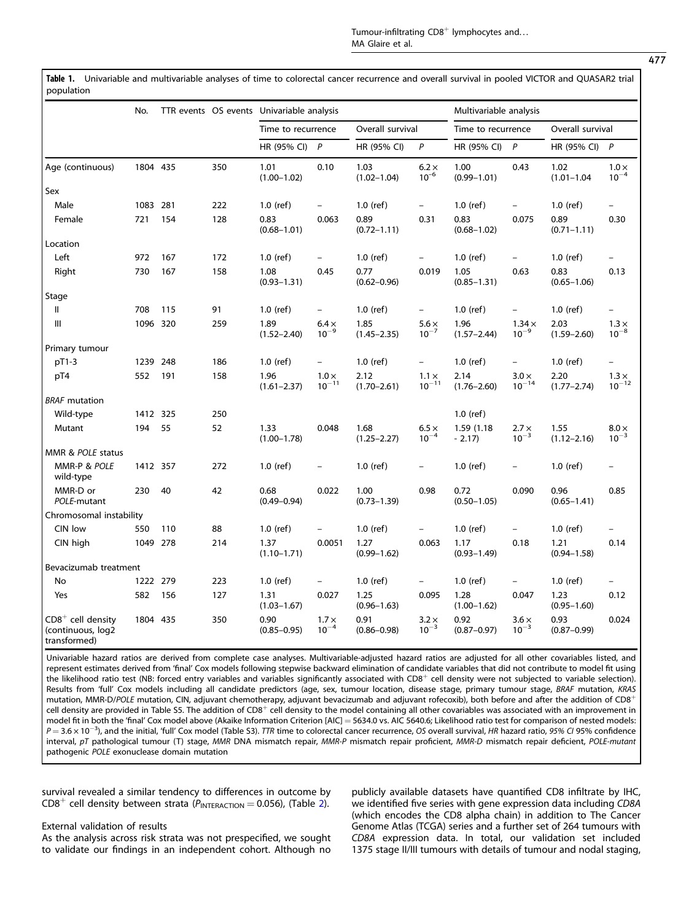| population                                               |          |     |     |                                           |                            |                         |                            |                         |                            |                         |                            |
|----------------------------------------------------------|----------|-----|-----|-------------------------------------------|----------------------------|-------------------------|----------------------------|-------------------------|----------------------------|-------------------------|----------------------------|
|                                                          | No.      |     |     | TTR events OS events Univariable analysis |                            |                         |                            | Multivariable analysis  |                            |                         |                            |
|                                                          |          |     |     | Time to recurrence                        |                            | Overall survival        |                            | Time to recurrence      |                            | Overall survival        |                            |
|                                                          |          |     |     | HR (95% CI)                               | P                          | HR (95% CI)             | P                          | HR (95% CI)             | P                          | HR (95% CI)             | P                          |
| Age (continuous)                                         | 1804 435 |     | 350 | 1.01<br>$(1.00 - 1.02)$                   | 0.10                       | 1.03<br>$(1.02 - 1.04)$ | $6.2 \times$<br>$10^{-6}$  | 1.00<br>$(0.99 - 1.01)$ | 0.43                       | 1.02<br>$(1.01 - 1.04)$ | $1.0 \times$<br>$10^{-4}$  |
| Sex                                                      |          |     |     |                                           |                            |                         |                            |                         |                            |                         |                            |
| Male                                                     | 1083     | 281 | 222 | $1.0$ (ref)                               |                            | $1.0$ (ref)             | $\overline{\phantom{a}}$   | $1.0$ (ref)             | $\blacksquare$             | $1.0$ (ref)             |                            |
| Female                                                   | 721      | 154 | 128 | 0.83<br>$(0.68 - 1.01)$                   | 0.063                      | 0.89<br>$(0.72 - 1.11)$ | 0.31                       | 0.83<br>$(0.68 - 1.02)$ | 0.075                      | 0.89<br>$(0.71 - 1.11)$ | 0.30                       |
| Location                                                 |          |     |     |                                           |                            |                         |                            |                         |                            |                         |                            |
| Left                                                     | 972      | 167 | 172 | $1.0$ (ref)                               | Ξ,                         | $1.0$ (ref)             |                            | $1.0$ (ref)             | $\overline{\phantom{a}}$   | $1.0$ (ref)             |                            |
| Right                                                    | 730      | 167 | 158 | 1.08<br>$(0.93 - 1.31)$                   | 0.45                       | 0.77<br>$(0.62 - 0.96)$ | 0.019                      | 1.05<br>$(0.85 - 1.31)$ | 0.63                       | 0.83<br>$(0.65 - 1.06)$ | 0.13                       |
| Stage                                                    |          |     |     |                                           |                            |                         |                            |                         |                            |                         |                            |
| Ш                                                        | 708      | 115 | 91  | $1.0$ (ref)                               | $\frac{1}{2}$              | $1.0$ (ref)             | $\overline{\phantom{0}}$   | $1.0$ (ref)             | $\overline{\phantom{0}}$   | $1.0$ (ref)             |                            |
| Ш                                                        | 1096 320 |     | 259 | 1.89<br>$(1.52 - 2.40)$                   | $6.4\times$<br>$10^{-9}$   | 1.85<br>$(1.45 - 2.35)$ | $5.6\times$<br>$10^{-7}$   | 1.96<br>$(1.57 - 2.44)$ | $1.34 \times$<br>$10^{-9}$ | 2.03<br>$(1.59 - 2.60)$ | $1.3 \times$<br>$10^{-8}$  |
| Primary tumour                                           |          |     |     |                                           |                            |                         |                            |                         |                            |                         |                            |
| pT1-3                                                    | 1239     | 248 | 186 | $1.0$ (ref)                               | $\frac{1}{2}$              | $1.0$ (ref)             | $\overline{\phantom{0}}$   | $1.0$ (ref)             | $\overline{\phantom{0}}$   | $1.0$ (ref)             |                            |
| pT4                                                      | 552      | 191 | 158 | 1.96<br>$(1.61 - 2.37)$                   | $1.0 \times$<br>$10^{-11}$ | 2.12<br>$(1.70 - 2.61)$ | $1.1 \times$<br>$10^{-11}$ | 2.14<br>$(1.76 - 2.60)$ | $3.0 \times$<br>$10^{-14}$ | 2.20<br>$(1.77 - 2.74)$ | $1.3 \times$<br>$10^{-12}$ |
| <b>BRAF</b> mutation                                     |          |     |     |                                           |                            |                         |                            |                         |                            |                         |                            |
| Wild-type                                                | 1412 325 |     | 250 |                                           |                            |                         |                            | $1.0$ (ref)             |                            |                         |                            |
| Mutant                                                   | 194      | 55  | 52  | 1.33<br>$(1.00 - 1.78)$                   | 0.048                      | 1.68<br>$(1.25 - 2.27)$ | $6.5\times$<br>$10^{-4}$   | 1.59 (1.18)<br>$-2.17$  | $2.7 \times$<br>$10^{-3}$  | 1.55<br>$(1.12 - 2.16)$ | $8.0 \times$<br>$10^{-3}$  |
| MMR & POLE status                                        |          |     |     |                                           |                            |                         |                            |                         |                            |                         |                            |
| MMR-P & POLE<br>wild-type                                | 1412 357 |     | 272 | $1.0$ (ref)                               | $\qquad \qquad -$          | $1.0$ (ref)             | $\overline{\phantom{0}}$   | $1.0$ (ref)             | $\overline{\phantom{0}}$   | $1.0$ (ref)             |                            |
| MMR-D or<br>POLE-mutant                                  | 230      | 40  | 42  | 0.68<br>$(0.49 - 0.94)$                   | 0.022                      | 1.00<br>$(0.73 - 1.39)$ | 0.98                       | 0.72<br>$(0.50 - 1.05)$ | 0.090                      | 0.96<br>$(0.65 - 1.41)$ | 0.85                       |
| Chromosomal instability                                  |          |     |     |                                           |                            |                         |                            |                         |                            |                         |                            |
| CIN low                                                  | 550      | 110 | 88  | $1.0$ (ref)                               | $\frac{1}{2}$              | $1.0$ (ref)             | $\overline{\phantom{m}}$   | $1.0$ (ref)             | $\overline{\phantom{0}}$   | $1.0$ (ref)             |                            |
| CIN high                                                 | 1049 278 |     | 214 | 1.37<br>$(1.10 - 1.71)$                   | 0.0051                     | 1.27<br>$(0.99 - 1.62)$ | 0.063                      | 1.17<br>$(0.93 - 1.49)$ | 0.18                       | 1.21<br>$(0.94 - 1.58)$ | 0.14                       |
| Bevacizumab treatment                                    |          |     |     |                                           |                            |                         |                            |                         |                            |                         |                            |
| No                                                       | 1222 279 |     | 223 | $1.0$ (ref)                               | $\frac{1}{2}$              | $1.0$ (ref)             | $\overline{\phantom{a}}$   | $1.0$ (ref)             | $\qquad \qquad -$          | $1.0$ (ref)             |                            |
| Yes                                                      | 582      | 156 | 127 | 1.31<br>$(1.03 - 1.67)$                   | 0.027                      | 1.25<br>$(0.96 - 1.63)$ | 0.095                      | 1.28<br>$(1.00 - 1.62)$ | 0.047                      | 1.23<br>$(0.95 - 1.60)$ | 0.12                       |
| $CDB+$ cell density<br>(continuous, log2<br>transformed) | 1804 435 |     | 350 | 0.90<br>$(0.85 - 0.95)$                   | $1.7 \times$<br>$10^{-4}$  | 0.91<br>$(0.86 - 0.98)$ | $3.2 \times$<br>$10^{-3}$  | 0.92<br>$(0.87 - 0.97)$ | $3.6\times$<br>$10^{-3}$   | 0.93<br>$(0.87 - 0.99)$ | 0.024                      |

<span id="page-3-0"></span>Table 1. Univariable and multivariable analyses of time to colorectal cancer recurrence and overall survival in pooled VICTOR and QUASAR2 trial

Univariable hazard ratios are derived from complete case analyses. Multivariable-adjusted hazard ratios are adjusted for all other covariables listed, and represent estimates derived from 'final' Cox models following stepwise backward elimination of candidate variables that did not contribute to model fit using the likelihood ratio test (NB: forced entry variables and variables significantly associated with  $CDB<sup>+</sup>$  cell density were not subjected to variable selection). Results from 'full' Cox models including all candidate predictors (age, sex, tumour location, disease stage, primary tumour stage, BRAF mutation, KRAS mutation, MMR-D/POLE mutation, CIN, adjuvant chemotherapy, adjuvant bevacizumab and adjuvant rofecoxib), both before and after the addition of CD8<sup>+</sup> cell density are provided in Table S5. The addition of CD8<sup>+</sup> cell density to the model containing all other covariables was associated with an improvement in model fit in both the 'final' Cox model above (Akaike Information Criterion [AIC] = 5634.0 vs. AIC 5640.6; Likelihood ratio test for comparison of nested models: P = 3.6 × 10<sup>-3</sup>), and the initial, 'full' Cox model (Table S3). TTR time to colorectal cancer recurrence, OS overall survival, HR hazard ratio, 95% Cl 95% confidence interval, pT pathological tumour (T) stage, MMR DNA mismatch repair, MMR-P mismatch repair proficient, MMR-D mismatch repair deficient, POLE-mutant pathogenic POLE exonuclease domain mutation

survival revealed a similar tendency to differences in outcome by CD8<sup>+</sup> cell density between strata ( $P_{\text{INTERACTION}}$  = 0.056), (Table [2](#page-4-0)).

## External validation of results

As the analysis across risk strata was not prespecified, we sought to validate our findings in an independent cohort. Although no publicly available datasets have quantified CD8 infiltrate by IHC, we identified five series with gene expression data including CD8A (which encodes the CD8 alpha chain) in addition to The Cancer Genome Atlas (TCGA) series and a further set of 264 tumours with CD8A expression data. In total, our validation set included 1375 stage II/III tumours with details of tumour and nodal staging,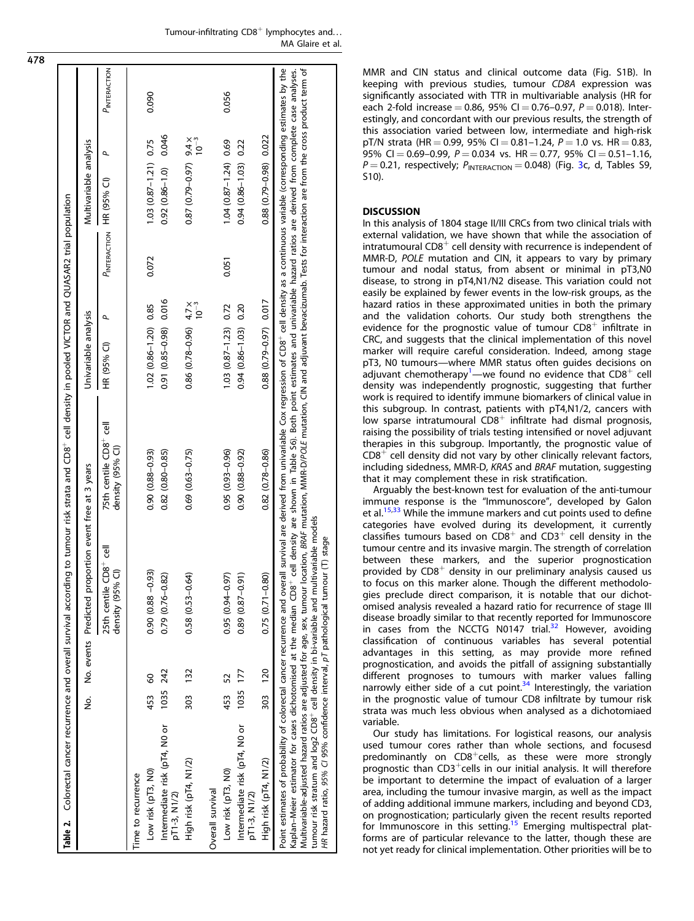| Table 2. Colorectal cancer recurrence and overall survival according to tumour risk strata and CD8 <sup>+</sup> cell density in pooled VICTOR and QUASAR2 trial population                                                                                                                                                                                                                                                                                                                                                                                                                                                                                                                                                                                                                                                                |             |                                                          |                                                        |                                              |       |                                        |              |
|-------------------------------------------------------------------------------------------------------------------------------------------------------------------------------------------------------------------------------------------------------------------------------------------------------------------------------------------------------------------------------------------------------------------------------------------------------------------------------------------------------------------------------------------------------------------------------------------------------------------------------------------------------------------------------------------------------------------------------------------------------------------------------------------------------------------------------------------|-------------|----------------------------------------------------------|--------------------------------------------------------|----------------------------------------------|-------|----------------------------------------|--------------|
|                                                                                                                                                                                                                                                                                                                                                                                                                                                                                                                                                                                                                                                                                                                                                                                                                                           | g           | proportion event free at 3 years<br>No. events Predicted |                                                        | Univariable analysis                         |       | Multivariable analysis                 |              |
|                                                                                                                                                                                                                                                                                                                                                                                                                                                                                                                                                                                                                                                                                                                                                                                                                                           |             | 25th centile CD8 <sup>+</sup> cell<br>density (95% CI)   | 75th centile CD8 <sup>+</sup> cell<br>density (95% CI) | ٩<br>HR (95% Cl)                             |       | ٩<br>PINTERACTION HR (95% CI)          | PINTERACTION |
| Time to recurrence                                                                                                                                                                                                                                                                                                                                                                                                                                                                                                                                                                                                                                                                                                                                                                                                                        |             |                                                          |                                                        |                                              |       |                                        |              |
| Low risk (pT3, NO)                                                                                                                                                                                                                                                                                                                                                                                                                                                                                                                                                                                                                                                                                                                                                                                                                        | 453 60      | $(6.90)(0.88 - 0.93)$                                    | $0.90(0.88 - 0.93)$                                    | 1.02 (0.86-1.20) 0.85                        | 0.072 | $1.03$ ( $0.87 - 1.21$ ) 0.75          | 0.090        |
| Intermediate risk (pT4, NO or<br>pT1-3, N1/2)                                                                                                                                                                                                                                                                                                                                                                                                                                                                                                                                                                                                                                                                                                                                                                                             | 242<br>1035 | $0.79(0.76 - 0.82)$                                      | $0.82(0.80 - 0.85)$                                    | $0.91(0.85 - 0.98)$ 0.016                    |       | $0.92(0.86 - 1.0)$ 0.046               |              |
| High risk (pT4, N1/2)                                                                                                                                                                                                                                                                                                                                                                                                                                                                                                                                                                                                                                                                                                                                                                                                                     | 303 132     | $0.58(0.53 - 0.64)$                                      | $0.69(0.63 - 0.75)$                                    | $0.86$ (0.78-0.96) 4.7 $\times$<br>$10^{-3}$ |       | $0.87(0.79 - 0.97)$ 9.4 x<br>$10^{-3}$ |              |
| Overall survival                                                                                                                                                                                                                                                                                                                                                                                                                                                                                                                                                                                                                                                                                                                                                                                                                          |             |                                                          |                                                        |                                              |       |                                        |              |
| Low risk (pT3, NO)                                                                                                                                                                                                                                                                                                                                                                                                                                                                                                                                                                                                                                                                                                                                                                                                                        | 453 52      | $(0.95(0.94 - 0.97))$                                    | $0.95(0.93 - 0.96)$                                    | $1.03(0.87 - 1.23)$ 0.72                     | 0.051 | $1.04(0.87 - 1.24)0.69$                | 0.056        |
| Intermediate risk (pT4, NO or<br>pT1-3, N1/2)                                                                                                                                                                                                                                                                                                                                                                                                                                                                                                                                                                                                                                                                                                                                                                                             | 1035 177    | $0.89(0.87 - 0.91)$                                      | $0.90(0.88 - 0.92)$                                    | $0.94(0.86 - 1.03)$ 0.20                     |       | $0.94(0.86 - 1.03)$ 0.22               |              |
| High risk (pT4, N1/2)                                                                                                                                                                                                                                                                                                                                                                                                                                                                                                                                                                                                                                                                                                                                                                                                                     | 303 120     | $0.75(0.71 - 0.80)$                                      | $0.82(0.78 - 0.86)$                                    | 0.88 (0.79-0.97) 0.017                       |       | 0.88 (0.79-0.98) 0.022                 |              |
| Point estimates of probability of colorectal cancer recurrence and overall survival are derived from univariable Cox regression of CD8 <sup>+</sup> cell density as a continuous variable (corresponding estimates by the<br>Kaplan-Meier estimator for cases dichotomised at the median CD8 <sup>+</sup> cell density are shown in Table S6). Both point estimates and univariable hazard ratios are derived from complete case analyses.<br>Multivariable-adjusted hazard ratios are adjusted for age, sex, tumour location, BRAF mutation, MMR-D/POLE mutation, CIN and adjuvant bevacizumab. Tests for interaction are from the cross product term of<br>tumour risk stratum and $log2$ CD8 <sup>+</sup> cell density in bi-variable and multivariable models<br>HR hazard ratio, 95% CI 95% confidence interval, pT pathological tur |             | mour (T) stage                                           |                                                        |                                              |       |                                        |              |

Tumour-infiltrating  $CDB^+$  lymphocytes and...

MMR and CIN status and clinical outcome data (Fig. S1B). In keeping with previous studies, tumour CD8A expression was significantly associated with TTR in multivariable analysis (HR for each 2-fold increase = 0.86, 95% CI = 0.76-0.97,  $P = 0.018$ ). Interestingly, and concordant with our previous results, the strength of this association varied between low, intermediate and high-risk pT/N strata (HR = 0.99, 95% CI = 0.81-1.24,  $P = 1.0$  vs. HR = 0.83, 95% CI = 0.69-0.99,  $P = 0.034$  vs. HR = 0.77, 95% CI = 0.51-1.16,  $P = 0.21$ , respectively;  $P_{\text{INTERATION}} = 0.048$ ) (Fig. [3c](#page-7-0), d, Tables S9, S10).

## **DISCUSSION**

In this analysis of 1804 stage II/III CRCs from two clinical trials with external validation, we have shown that while the association of intratumoural  $CDB<sup>+</sup>$  cell density with recurrence is independent of MMR-D, POLE mutation and CIN, it appears to vary by primary tumour and nodal status, from absent or minimal in pT3,N0 disease, to strong in pT4,N1/N2 disease. This variation could not easily be explained by fewer events in the low-risk groups, as the hazard ratios in these approximated unities in both the primary and the validation cohorts. Our study both strengthens the evidence for the prognostic value of tumour  $CDB<sup>+</sup>$  infiltrate in CRC, and suggests that the clinical implementation of this novel marker will require careful consideration. Indeed, among stage pT3, N0 tumours—where MMR status often guides decisions on adjuvant chemotherapy $^1$  $^1$ —we found no evidence that  $CD8^+$  cell density was independently prognostic, suggesting that further work is required to identify immune biomarkers of clinical value in this subgroup. In contrast, patients with pT4,N1/2, cancers with low sparse intratumoural  $CD8<sup>+</sup>$  infiltrate had dismal prognosis, raising the possibility of trials testing intensified or novel adjuvant therapies in this subgroup. Importantly, the prognostic value of  $CD8<sup>+</sup>$  cell density did not vary by other clinically relevant factors, including sidedness, MMR-D, KRAS and BRAF mutation, suggesting that it may complement these in risk stratification.

Arguably the best-known test for evaluation of the anti-tumour immune response is the "Immunoscore", developed by Galon et al.<sup>15,33</sup> While the immune markers and cut points used to define categories have evolved during its development, it currently classifies tumours based on  $CDB<sup>+</sup>$  and  $CDB<sup>+</sup>$  cell density in the tumour centre and its invasive margin. The strength of correlation between these markers, and the superior prognostication provided by  $CDB<sup>+</sup>$  density in our preliminary analysis caused us to focus on this marker alone. Though the different methodologies preclude direct comparison, it is notable that our dichotomised analysis revealed a hazard ratio for recurrence of stage III disease broadly similar to that recently reported for Immunoscore in cases from the NCCTG N0147 trial. $32$  However, avoiding classification of continuous variables has several potential advantages in this setting, as may provide more refined prognostication, and avoids the pitfall of assigning substantially different prognoses to tumours with marker values falling<br>narrowly either side of a cut point.<sup>34</sup> Interestingly, the variation in the prognostic value of tumour CD8 infiltrate by tumour risk strata was much less obvious when analysed as a dichotomiaed variable.

Our study has limitations. For logistical reasons, our analysis used tumour cores rather than whole sections, and focusesd predominantly on CD8<sup>+</sup>cells, as these were more strongly prognostic than  $CD3^+$ cells in our initial analysis. It will therefore be important to determine the impact of evaluation of a larger area, including the tumour invasive margin, as well as the impact of adding additional immune markers, including and beyond CD3, on prognostication; particularly given the recent results reported for Immunoscore in this setting.<sup>[15](#page-8-0)</sup> Emerging multispectral platforms are of particular relevance to the latter, though these are not yet ready for clinical implementation. Other priorities will be to

<span id="page-4-0"></span>478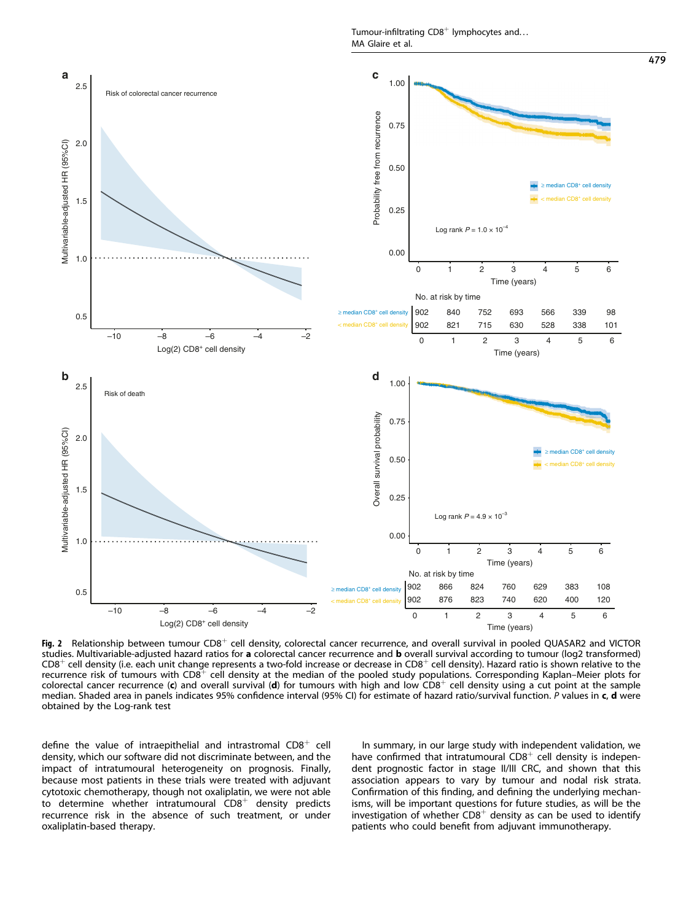Tumour-infiltrating  $CDB^+$  lymphocytes and... MA Glaire et al.

<span id="page-5-0"></span>

Fig. 2 Relationship between tumour CD8<sup>+</sup> cell density, colorectal cancer recurrence, and overall survival in pooled QUASAR2 and VICTOR studies. Multivariable-adjusted hazard ratios for a colorectal cancer recurrence and b overall survival according to tumour (log2 transformed)  $CD8^+$  cell density (i.e. each unit change represents a two-fold increase or decrease in  $CD8^+$  cell density). Hazard ratio is shown relative to the recurrence risk of tumours with  $CD8<sup>+</sup>$  cell density at the median of the pooled study populations. Corresponding Kaplan–Meier plots for colorectal cancer recurrence (c) and overall survival (d) for tumours with high and low  $CDS<sup>+</sup>$  cell density using a cut point at the sample median. Shaded area in panels indicates 95% confidence interval (95% CI) for estimate of hazard ratio/survival function. P values in c, d were obtained by the Log-rank test

define the value of intraepithelial and intrastromal  $CD8<sup>+</sup>$  cell density, which our software did not discriminate between, and the impact of intratumoural heterogeneity on prognosis. Finally, because most patients in these trials were treated with adjuvant cytotoxic chemotherapy, though not oxaliplatin, we were not able to determine whether intratumoural CD8<sup>+</sup> density predicts recurrence risk in the absence of such treatment, or under oxaliplatin-based therapy.

In summary, in our large study with independent validation, we have confirmed that intratumoural  $CDB<sup>+</sup>$  cell density is independent prognostic factor in stage II/III CRC, and shown that this association appears to vary by tumour and nodal risk strata. Confirmation of this finding, and defining the underlying mechanisms, will be important questions for future studies, as will be the investigation of whether  $CDB<sup>+</sup>$  density as can be used to identify patients who could benefit from adjuvant immunotherapy.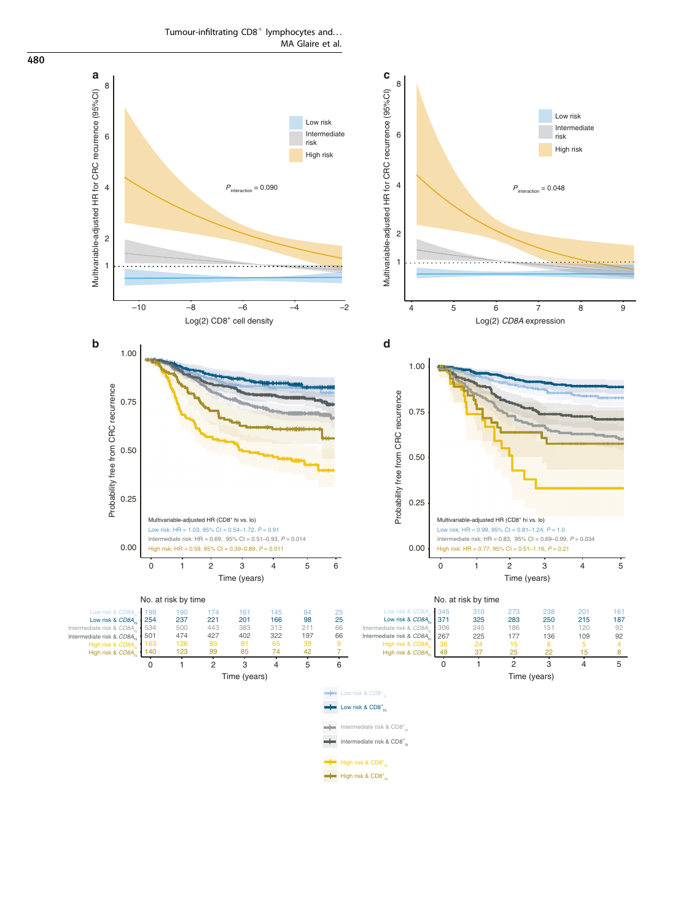

High risk & CD8<sup>+</sup><sub>hi</sub>

Tumour-infiltrating  $CDB^+$  lymphocytes and... MA Glaire et al.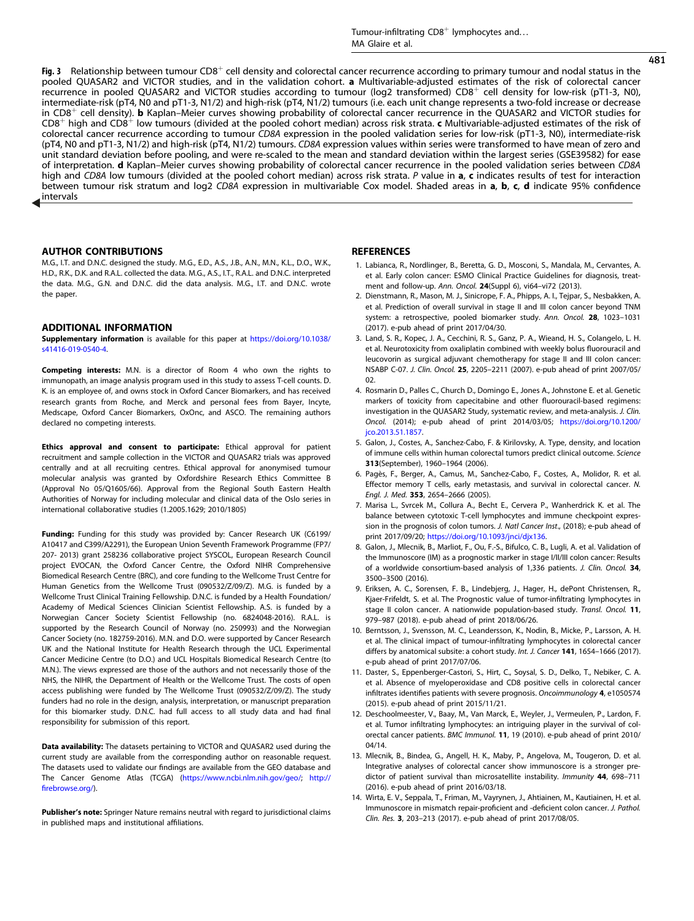<span id="page-7-0"></span>Fig. 3 Relationship between tumour CD8<sup>+</sup> cell density and colorectal cancer recurrence according to primary tumour and nodal status in the pooled QUASAR2 and VICTOR studies, and in the validation cohort. a Multivariable-adjusted estimates of the risk of colorectal cancer recurrence in pooled QUASAR2 and VICTOR studies according to tumour (log2 transformed) CD8<sup>+</sup> cell density for low-risk (pT1-3, N0), intermediate-risk (pT4, N0 and pT1-3, N1/2) and high-risk (pT4, N1/2) tumours (i.e. each unit change represents a two-fold increase or decrease in CD8<sup>+</sup> cell density). **b** Kaplan–Meier curves showing probability of colorectal cancer recurrence in the QUASAR2 and VICTOR studies for  $CD8^+$  high and CD8<sup>+</sup> low tumours (divided at the pooled cohort median) across risk strata. c Multivariable-adjusted estimates of the risk of colorectal cancer recurrence according to tumour CD8A expression in the pooled validation series for low-risk (pT1-3, N0), intermediate-risk (pT4, N0 and pT1-3, N1/2) and high-risk (pT4, N1/2) tumours. CD8A expression values within series were transformed to have mean of zero and unit standard deviation before pooling, and were re-scaled to the mean and standard deviation within the largest series (GSE39582) for ease of interpretation. d Kaplan–Meier curves showing probability of colorectal cancer recurrence in the pooled validation series between CD8A high and CD8A low tumours (divided at the pooled cohort median) across risk strata. P value in a, c indicates results of test for interaction between tumour risk stratum and log2 CD8A expression in multivariable Cox model. Shaded areas in **a**, **b**, **c**, **d** indicate 95% confidence intervals

### AUTHOR CONTRIBUTIONS

M.G., I.T. and D.N.C. designed the study. M.G., E.D., A.S., J.B., A.N., M.N., K.L., D.O., W.K., H.D., R.K., D.K. and R.A.L. collected the data. M.G., A.S., I.T., R.A.L. and D.N.C. interpreted the data. M.G., G.N. and D.N.C. did the data analysis. M.G., I.T. and D.N.C. wrote the paper.

#### ADDITIONAL INFORMATION

Supplementary information is available for this paper at [https://doi.org/10.1038/](https://doi.org/10.1038/s41416-019-0540-4) [s41416-019-0540-4](https://doi.org/10.1038/s41416-019-0540-4).

Competing interests: M.N. is a director of Room 4 who own the rights to immunopath, an image analysis program used in this study to assess T-cell counts. D. K. is an employee of, and owns stock in Oxford Cancer Biomarkers, and has received research grants from Roche, and Merck and personal fees from Bayer, Incyte, Medscape, Oxford Cancer Biomarkers, OxOnc, and ASCO. The remaining authors declared no competing interests.

Ethics approval and consent to participate: Ethical approval for patient recruitment and sample collection in the VICTOR and QUASAR2 trials was approved centrally and at all recruiting centres. Ethical approval for anonymised tumour molecular analysis was granted by Oxfordshire Research Ethics Committee B (Approval No 05/Q1605/66). Approval from the Regional South Eastern Health Authorities of Norway for including molecular and clinical data of the Oslo series in international collaborative studies (1.2005.1629; 2010/1805)

Funding: Funding for this study was provided by: Cancer Research UK (C6199/ A10417 and C399/A2291), the European Union Seventh Framework Programme (FP7/ 207- 2013) grant 258236 collaborative project SYSCOL, European Research Council project EVOCAN, the Oxford Cancer Centre, the Oxford NIHR Comprehensive Biomedical Research Centre (BRC), and core funding to the Wellcome Trust Centre for Human Genetics from the Wellcome Trust (090532/Z/09/Z). M.G. is funded by a Wellcome Trust Clinical Training Fellowship. D.N.C. is funded by a Health Foundation/ Academy of Medical Sciences Clinician Scientist Fellowship. A.S. is funded by a Norwegian Cancer Society Scientist Fellowship (no. 6824048-2016). R.A.L. is supported by the Research Council of Norway (no. 250993) and the Norwegian Cancer Society (no. 182759-2016). M.N. and D.O. were supported by Cancer Research UK and the National Institute for Health Research through the UCL Experimental Cancer Medicine Centre (to D.O.) and UCL Hospitals Biomedical Research Centre (to M.N.). The views expressed are those of the authors and not necessarily those of the NHS, the NIHR, the Department of Health or the Wellcome Trust. The costs of open access publishing were funded by The Wellcome Trust (090532/Z/09/Z). The study funders had no role in the design, analysis, interpretation, or manuscript preparation for this biomarker study. D.N.C. had full access to all study data and had final responsibility for submission of this report.

Data availability: The datasets pertaining to VICTOR and QUASAR2 used during the current study are available from the corresponding author on reasonable request. The datasets used to validate our findings are available from the GEO database and The Cancer Genome Atlas (TCGA) (<https://www.ncbi.nlm.nih.gov/geo/>; [http://](http://firebrowse.org/) fi[rebrowse.org/](http://firebrowse.org/)).

Publisher's note: Springer Nature remains neutral with regard to jurisdictional claims in published maps and institutional affiliations.

#### **REFERENCES**

- 1. Labianca, R., Nordlinger, B., Beretta, G. D., Mosconi, S., Mandala, M., Cervantes, A. et al. Early colon cancer: ESMO Clinical Practice Guidelines for diagnosis, treatment and follow-up. Ann. Oncol. 24(Suppl 6), vi64–vi72 (2013).
- 2. Dienstmann, R., Mason, M. J., Sinicrope, F. A., Phipps, A. I., Tejpar, S., Nesbakken, A. et al. Prediction of overall survival in stage II and III colon cancer beyond TNM system: a retrospective, pooled biomarker study. Ann. Oncol. 28, 1023–1031 (2017). e-pub ahead of print 2017/04/30.
- 3. Land, S. R., Kopec, J. A., Cecchini, R. S., Ganz, P. A., Wieand, H. S., Colangelo, L. H. et al. Neurotoxicity from oxaliplatin combined with weekly bolus fluorouracil and leucovorin as surgical adjuvant chemotherapy for stage II and III colon cancer: NSABP C-07. J. Clin. Oncol. 25, 2205–2211 (2007). e-pub ahead of print 2007/05/  $02$
- 4. Rosmarin D., Palles C., Church D., Domingo E., Jones A., Johnstone E. et al. Genetic markers of toxicity from capecitabine and other fluorouracil-based regimens: investigation in the QUASAR2 Study, systematic review, and meta-analysis. J. Clin. Oncol. (2014); e-pub ahead of print 2014/03/05; [https://doi.org/10.1200/](https://doi.org/10.1200/jco.2013.51.1857) [jco.2013.51.1857](https://doi.org/10.1200/jco.2013.51.1857).
- 5. Galon, J., Costes, A., Sanchez-Cabo, F. & Kirilovsky, A. Type, density, and location of immune cells within human colorectal tumors predict clinical outcome. Science 313(September), 1960–1964 (2006).
- 6. Pagès, F., Berger, A., Camus, M., Sanchez-Cabo, F., Costes, A., Molidor, R. et al. Effector memory T cells, early metastasis, and survival in colorectal cancer. N. Engl. J. Med. 353, 2654–2666 (2005).
- 7. Marisa L., Svrcek M., Collura A., Becht E., Cervera P., Wanherdrick K. et al. The balance between cytotoxic T-cell lymphocytes and immune checkpoint expression in the prognosis of colon tumors. J. Natl Cancer Inst., (2018); e-pub ahead of print 2017/09/20; <https://doi.org/10.1093/jnci/djx136>.
- 8. Galon, J., Mlecnik, B., Marliot, F., Ou, F.-S., Bifulco, C. B., Lugli, A. et al. Validation of the Immunoscore (IM) as a prognostic marker in stage I/II/III colon cancer: Results of a worldwide consortium-based analysis of 1,336 patients. J. Clin. Oncol. 34, 3500–3500 (2016).
- 9. Eriksen, A. C., Sorensen, F. B., Lindebjerg, J., Hager, H., dePont Christensen, R., Kjaer-Frifeldt, S. et al. The Prognostic value of tumor-infiltrating lymphocytes in stage II colon cancer. A nationwide population-based study. Transl. Oncol. 11, 979–987 (2018). e-pub ahead of print 2018/06/26.
- 10. Berntsson, J., Svensson, M. C., Leandersson, K., Nodin, B., Micke, P., Larsson, A. H. et al. The clinical impact of tumour-infiltrating lymphocytes in colorectal cancer differs by anatomical subsite: a cohort study. Int. J. Cancer 141, 1654-1666 (2017). e-pub ahead of print 2017/07/06.
- 11. Daster, S., Eppenberger-Castori, S., Hirt, C., Soysal, S. D., Delko, T., Nebiker, C. A. et al. Absence of myeloperoxidase and CD8 positive cells in colorectal cancer infiltrates identifies patients with severe prognosis. Oncoimmunology 4, e1050574 (2015). e-pub ahead of print 2015/11/21.
- 12. Deschoolmeester, V., Baay, M., Van Marck, E., Weyler, J., Vermeulen, P., Lardon, F. et al. Tumor infiltrating lymphocytes: an intriguing player in the survival of colorectal cancer patients. BMC Immunol. 11, 19 (2010). e-pub ahead of print 2010/ 04/14.
- 13. Mlecnik, B., Bindea, G., Angell, H. K., Maby, P., Angelova, M., Tougeron, D. et al. Integrative analyses of colorectal cancer show immunoscore is a stronger predictor of patient survival than microsatellite instability. Immunity 44, 698–711 (2016). e-pub ahead of print 2016/03/18.
- 14. Wirta, E. V., Seppala, T., Friman, M., Vayrynen, J., Ahtiainen, M., Kautiainen, H. et al. Immunoscore in mismatch repair-proficient and -deficient colon cancer. J. Pathol. Clin. Res. 3, 203–213 (2017). e-pub ahead of print 2017/08/05.